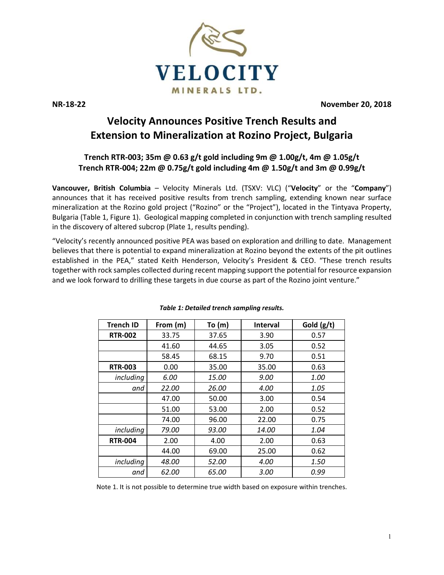

**NR-18-22 November 20, 2018**

# **Velocity Announces Positive Trench Results and Extension to Mineralization at Rozino Project, Bulgaria**

# **Trench RTR-003; 35m @ 0.63 g/t gold including 9m @ 1.00g/t, 4m @ 1.05g/t Trench RTR-004; 22m @ 0.75g/t gold including 4m @ 1.50g/t and 3m @ 0.99g/t**

**Vancouver, British Columbia** – Velocity Minerals Ltd. (TSXV: VLC) ("**Velocity**" or the "**Company**") announces that it has received positive results from trench sampling, extending known near surface mineralization at the Rozino gold project ("Rozino" or the "Project"), located in the Tintyava Property, Bulgaria (Table 1, Figure 1). Geological mapping completed in conjunction with trench sampling resulted in the discovery of altered subcrop (Plate 1, results pending).

"Velocity's recently announced positive PEA was based on exploration and drilling to date. Management believes that there is potential to expand mineralization at Rozino beyond the extents of the pit outlines established in the PEA," stated Keith Henderson, Velocity's President & CEO. "These trench results together with rock samples collected during recent mapping support the potential for resource expansion and we look forward to drilling these targets in due course as part of the Rozino joint venture."

| Trench ID      | From (m) | To $(m)$     | <b>Interval</b> | Gold (g/t)  |
|----------------|----------|--------------|-----------------|-------------|
| <b>RTR-002</b> | 33.75    | 37.65        | 3.90            | 0.57        |
|                | 41.60    | 44.65        | 3.05            | 0.52        |
|                | 58.45    | 68.15        | 9.70            | 0.51        |
| <b>RTR-003</b> | 0.00     | 35.00        | 35.00           | 0.63        |
| including      | 6.00     | <i>15.00</i> | 9.00            | <i>1.00</i> |
| and            | 22.00    | 26.00        | 4.00            | 1.05        |
|                | 47.00    | 50.00        | 3.00            | 0.54        |
|                | 51.00    | 53.00        | 2.00            | 0.52        |
|                | 74.00    | 96.00        | 22.00           | 0.75        |
| including      | 79.00    | 93.00        | <i>14.00</i>    | 1.04        |
| <b>RTR-004</b> | 2.00     | 4.00         | 2.00            | 0.63        |
|                | 44.00    | 69.00        | 25.00           | 0.62        |
| including      | 48.00    | 52.00        | 4.00            | 1.50        |
| and            | 62.00    | 65.00        | 3.00            | 0.99        |

# *Table 1: Detailed trench sampling results.*

Note 1. It is not possible to determine true width based on exposure within trenches.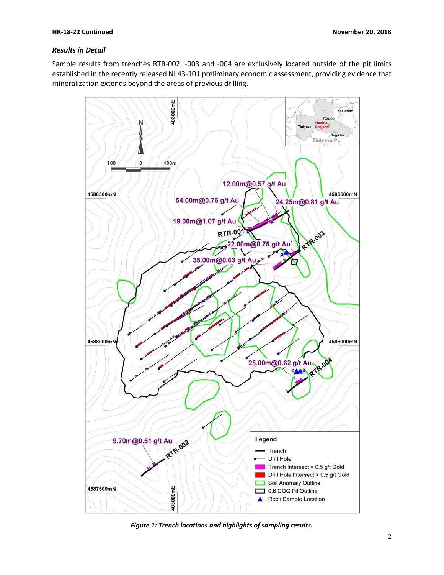# *Results in Detail*

Sample results from trenches RTR-002, -003 and -004 are exclusively located outside of the pit limits established in the recently released NI 43-101 preliminary economic assessment, providing evidence that mineralization extends beyond the areas of previous drilling.



*Figure 1: Trench locations and highlights of sampling results.*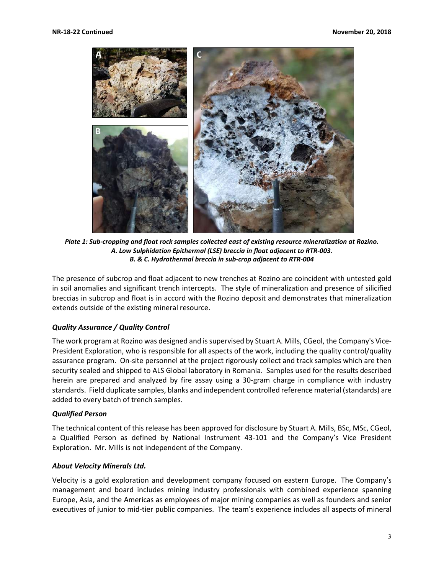

*Plate 1: Sub-cropping and float rock samples collected east of existing resource mineralization at Rozino. A. Low Sulphidation Epithermal (LSE) breccia in float adjacent to RTR-003. B. & C. Hydrothermal breccia in sub-crop adjacent to RTR-004*

The presence of subcrop and float adjacent to new trenches at Rozino are coincident with untested gold in soil anomalies and significant trench intercepts. The style of mineralization and presence of silicified breccias in subcrop and float is in accord with the Rozino deposit and demonstrates that mineralization extends outside of the existing mineral resource.

# *Quality Assurance / Quality Control*

The work program at Rozino was designed and is supervised by Stuart A. Mills, CGeol, the Company's Vice-President Exploration, who is responsible for all aspects of the work, including the quality control/quality assurance program. On-site personnel at the project rigorously collect and track samples which are then security sealed and shipped to ALS Global laboratory in Romania. Samples used for the results described herein are prepared and analyzed by fire assay using a 30-gram charge in compliance with industry standards. Field duplicate samples, blanks and independent controlled reference material (standards) are added to every batch of trench samples.

#### *Qualified Person*

The technical content of this release has been approved for disclosure by Stuart A. Mills, BSc, MSc, CGeol, a Qualified Person as defined by National Instrument 43-101 and the Company's Vice President Exploration. Mr. Mills is not independent of the Company.

#### *About Velocity Minerals Ltd.*

Velocity is a gold exploration and development company focused on eastern Europe. The Company's management and board includes mining industry professionals with combined experience spanning Europe, Asia, and the Americas as employees of major mining companies as well as founders and senior executives of junior to mid-tier public companies. The team's experience includes all aspects of mineral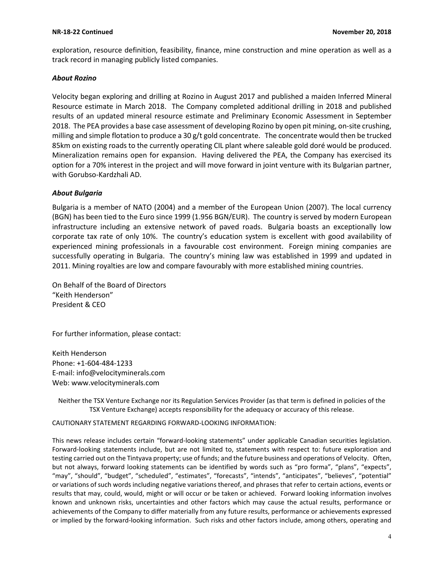#### **NR-18-22 Continued November 20, 2018**

exploration, resource definition, feasibility, finance, mine construction and mine operation as well as a track record in managing publicly listed companies.

## *About Rozino*

Velocity began exploring and drilling at Rozino in August 2017 and published a maiden Inferred Mineral Resource estimate in March 2018. The Company completed additional drilling in 2018 and published results of an updated mineral resource estimate and Preliminary Economic Assessment in September 2018. The PEA provides a base case assessment of developing Rozino by open pit mining, on-site crushing, milling and simple flotation to produce a 30 g/t gold concentrate. The concentrate would then be trucked 85km on existing roads to the currently operating CIL plant where saleable gold doré would be produced. Mineralization remains open for expansion. Having delivered the PEA, the Company has exercised its option for a 70% interest in the project and will move forward in joint venture with its Bulgarian partner, with Gorubso-Kardzhali AD.

## *About Bulgaria*

Bulgaria is a member of NATO (2004) and a member of the European Union (2007). The local currency (BGN) has been tied to the Euro since 1999 (1.956 BGN/EUR). The country is served by modern European infrastructure including an extensive network of paved roads. Bulgaria boasts an exceptionally low corporate tax rate of only 10%. The country's education system is excellent with good availability of experienced mining professionals in a favourable cost environment. Foreign mining companies are successfully operating in Bulgaria. The country's mining law was established in 1999 and updated in 2011. Mining royalties are low and compare favourably with more established mining countries.

On Behalf of the Board of Directors "Keith Henderson" President & CEO

For further information, please contact:

Keith Henderson Phone: +1-604-484-1233 E-mail: [info@velocityminerals.com](mailto:info@velocityminerals.com) Web: [www.velocityminerals.com](http://www.velocityminerals.com/)

Neither the TSX Venture Exchange nor its Regulation Services Provider (as that term is defined in policies of the TSX Venture Exchange) accepts responsibility for the adequacy or accuracy of this release.

CAUTIONARY STATEMENT REGARDING FORWARD-LOOKING INFORMATION:

This news release includes certain "forward-looking statements" under applicable Canadian securities legislation. Forward-looking statements include, but are not limited to, statements with respect to: future exploration and testing carried out on the Tintyava property; use of funds; and the future business and operations of Velocity. Often, but not always, forward looking statements can be identified by words such as "pro forma", "plans", "expects", "may", "should", "budget", "scheduled", "estimates", "forecasts", "intends", "anticipates", "believes", "potential" or variations of such words including negative variations thereof, and phrases that refer to certain actions, events or results that may, could, would, might or will occur or be taken or achieved. Forward looking information involves known and unknown risks, uncertainties and other factors which may cause the actual results, performance or achievements of the Company to differ materially from any future results, performance or achievements expressed or implied by the forward-looking information. Such risks and other factors include, among others, operating and